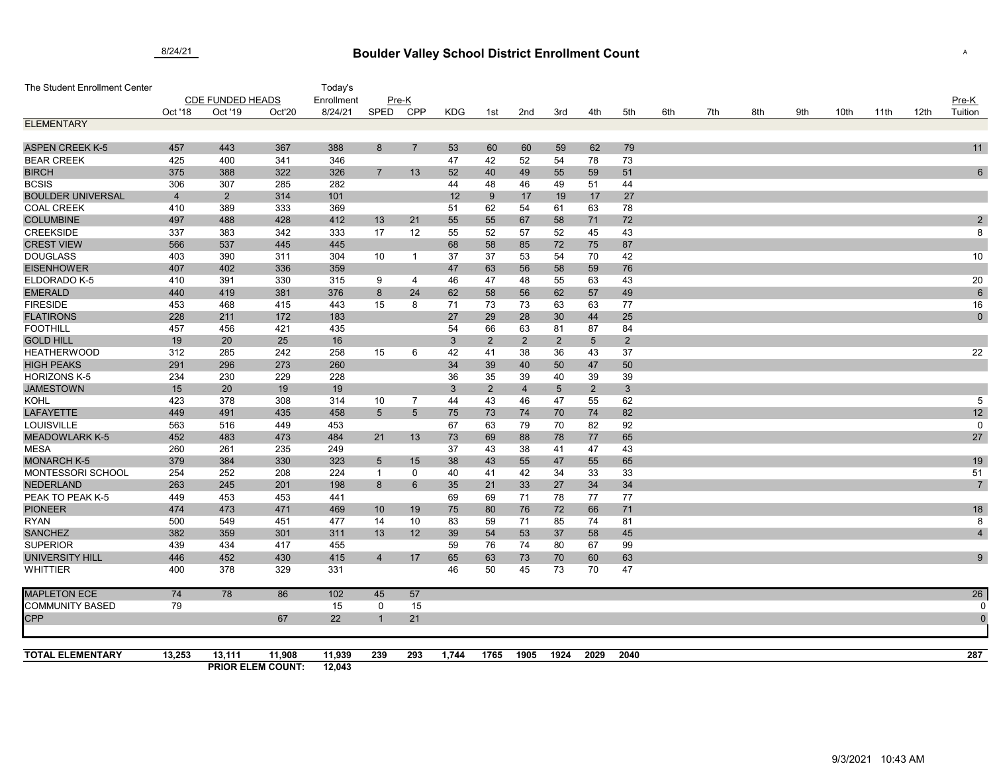## Boulder Valley School District Enrollment Count **Constant Count** Assembly the Second Assembly of Assembly Assembly

| The Student Enrollment Center           |                         |                |                                    | Today's          |                              |                      |              |                |                |                |                       |                      |     |     |     |     |      |      |      |                 |
|-----------------------------------------|-------------------------|----------------|------------------------------------|------------------|------------------------------|----------------------|--------------|----------------|----------------|----------------|-----------------------|----------------------|-----|-----|-----|-----|------|------|------|-----------------|
|                                         | <b>CDE FUNDED HEADS</b> |                |                                    | Enrollment       | $Pre-K$                      |                      |              |                |                |                |                       |                      |     |     |     |     |      |      |      | Pre-K           |
|                                         | Oct '18                 | Oct '19        | Oct'20                             | 8/24/21          | <b>SPED</b>                  | <b>CPP</b>           | <b>KDG</b>   | 1st            | 2nd            | 3rd            | 4th                   | 5th                  | 6th | 7th | 8th | 9th | 10th | 11th | 12th | Tuition         |
| <b>ELEMENTARY</b>                       |                         |                |                                    |                  |                              |                      |              |                |                |                |                       |                      |     |     |     |     |      |      |      |                 |
|                                         |                         |                |                                    | 388              |                              |                      |              |                |                |                |                       |                      |     |     |     |     |      |      |      |                 |
| <b>ASPEN CREEK K-5</b>                  | 457                     | 443            | 367                                |                  | 8                            | $\overline{7}$       | 53           | 60             | 60             | 59             | 62                    | 79                   |     |     |     |     |      |      |      | 11              |
| <b>BEAR CREEK</b>                       | 425                     | 400            | 341                                | 346              |                              |                      | 47           | 42             | 52             | 54             | 78                    | 73                   |     |     |     |     |      |      |      |                 |
| <b>BIRCH</b>                            | 375                     | 388            | 322                                | 326              | 7                            | 13                   | 52           | 40             | 49             | 55             | 59                    | 51                   |     |     |     |     |      |      |      | $\,6\,$         |
| <b>BCSIS</b>                            | 306                     | 307            | 285                                | 282              |                              |                      | 44           | 48             | 46             | 49             | 51                    | 44                   |     |     |     |     |      |      |      |                 |
| <b>BOULDER UNIVERSAL</b>                | $\overline{4}$          | $\overline{2}$ | 314                                | 101              |                              |                      | 12           | 9              | 17             | 19             | 17                    | 27                   |     |     |     |     |      |      |      |                 |
| <b>COAL CREEK</b>                       | 410                     | 389            | 333                                | 369              |                              |                      | 51           | 62             | 54             | 61             | 63                    | 78                   |     |     |     |     |      |      |      |                 |
| <b>COLUMBINE</b>                        | 497                     | 488            | 428                                | 412              | 13                           | 21                   | 55           | 55             | 67             | 58             | 71                    | 72                   |     |     |     |     |      |      |      | $\overline{c}$  |
| <b>CREEKSIDE</b>                        | 337                     | 383            | 342                                | 333              | 17                           | 12                   | 55           | 52             | 57             | 52             | 45                    | 43                   |     |     |     |     |      |      |      | 8               |
| <b>CREST VIEW</b>                       | 566                     | 537            | 445                                | 445              |                              |                      | 68           | 58             | 85             | 72             | 75                    | 87                   |     |     |     |     |      |      |      |                 |
| <b>DOUGLASS</b>                         | 403                     | 390            | 311                                | 304              | 10                           | $\overline{1}$       | 37           | 37             | 53             | 54             | 70                    | 42                   |     |     |     |     |      |      |      | 10              |
| <b>EISENHOWER</b>                       | 407                     | 402            | 336                                | 359              |                              |                      | 47           | 63             | 56             | 58             | 59                    | 76                   |     |     |     |     |      |      |      |                 |
| ELDORADO K-5                            | 410                     | 391            | 330                                | 315              | 9                            | 4                    | 46           | 47             | 48             | 55             | 63                    | 43                   |     |     |     |     |      |      |      | 20              |
| <b>EMERALD</b>                          | 440                     | 419            | 381                                | 376              | 8                            | 24                   | 62           | 58             | 56             | 62             | 57                    | 49                   |     |     |     |     |      |      |      | $\,6\,$         |
| <b>FIRESIDE</b>                         | 453                     | 468            | 415                                | 443              | 15                           | 8                    | 71           | 73             | 73             | 63             | 63                    | 77                   |     |     |     |     |      |      |      | 16              |
| <b>FLATIRONS</b>                        | 228                     | 211            | 172                                | 183              |                              |                      | 27           | 29             | 28             | 30             | 44                    | 25                   |     |     |     |     |      |      |      | $\pmb{0}$       |
| <b>FOOTHILL</b>                         | 457                     | 456            | 421                                | 435              |                              |                      | 54           | 66             | 63             | 81             | 87                    | 84                   |     |     |     |     |      |      |      |                 |
| <b>GOLD HILL</b><br><b>HEATHERWOOD</b>  | 19<br>312               | 20<br>285      | 25<br>242                          | 16<br>258        |                              |                      | $\mathbf{3}$ | $\overline{2}$ | $\overline{2}$ | $\overline{2}$ | $5\phantom{.0}$<br>43 | $\overline{2}$<br>37 |     |     |     |     |      |      |      |                 |
|                                         |                         |                |                                    |                  | 15                           | 6                    | 42           | 41             | 38             | 36             |                       |                      |     |     |     |     |      |      |      | 22              |
| <b>HIGH PEAKS</b>                       | 291                     | 296            | 273                                | 260              |                              |                      | 34           | 39             | 40             | 50             | 47                    | 50                   |     |     |     |     |      |      |      |                 |
| <b>HORIZONS K-5</b>                     | 234                     | 230            | 229                                | 228              |                              |                      | 36           | 35             | 39             | 40             | 39                    | 39                   |     |     |     |     |      |      |      |                 |
| <b>JAMESTOWN</b><br><b>KOHL</b>         | 15<br>423               | 20<br>378      | 19                                 | 19               |                              |                      | $\mathbf{3}$ | $\overline{2}$ | $\overline{4}$ | $\overline{5}$ | $\overline{2}$<br>55  | $\mathbf{3}$         |     |     |     |     |      |      |      |                 |
| <b>LAFAYETTE</b>                        | 449                     | 491            | 308<br>435                         | 314<br>458       | 10                           | 7<br>$5\overline{)}$ | 44<br>75     | 43<br>73       | 46             | 47<br>70       | 74                    | 62<br>82             |     |     |     |     |      |      |      | 5<br>12         |
| LOUISVILLE                              | 563                     |                |                                    |                  | $\sqrt{5}$                   |                      | 67           |                | 74             | 70             |                       |                      |     |     |     |     |      |      |      | $\mathbf 0$     |
| <b>MEADOWLARK K-5</b>                   | 452                     | 516<br>483     | 449<br>473                         | 453<br>484       |                              |                      |              | 63             | 79             | 78             | 82<br>77              | 92                   |     |     |     |     |      |      |      | 27              |
| <b>MESA</b>                             | 260                     |                |                                    |                  | 21                           | 13                   | 73<br>37     | 69             | 88             |                |                       | 65                   |     |     |     |     |      |      |      |                 |
|                                         | 379                     | 261<br>384     | 235                                | 249<br>323       |                              |                      | 38           | 43             | 38             | 41<br>47       | 47                    | 43                   |     |     |     |     |      |      |      |                 |
| <b>MONARCH K-5</b><br>MONTESSORI SCHOOL | 254                     | 252            | 330<br>208                         | 224              | $\sqrt{5}$<br>$\overline{1}$ | 15<br>0              | 40           | 43<br>41       | 55<br>42       | 34             | 55<br>33              | 65<br>33             |     |     |     |     |      |      |      | $19$<br>51      |
| <b>NEDERLAND</b>                        | 263                     | 245            | 201                                | 198              | 8                            | $6\phantom{1}$       | 35           | 21             | 33             | 27             | 34                    | 34                   |     |     |     |     |      |      |      | $\overline{7}$  |
| PEAK TO PEAK K-5                        | 449                     | 453            | 453                                | 441              |                              |                      | 69           | 69             | 71             | 78             | 77                    | 77                   |     |     |     |     |      |      |      |                 |
| <b>PIONEER</b>                          | 474                     | 473            | 471                                | 469              | 10                           | 19                   | 75           | 80             | 76             | 72             | 66                    | 71                   |     |     |     |     |      |      |      | 18              |
| <b>RYAN</b>                             | 500                     | 549            | 451                                | 477              | 14                           | 10                   | 83           | 59             | 71             | 85             | 74                    | 81                   |     |     |     |     |      |      |      | 8               |
| <b>SANCHEZ</b>                          | 382                     | 359            | 301                                | 311              | 13                           | 12                   | 39           | 54             | 53             | 37             | 58                    | 45                   |     |     |     |     |      |      |      | $\overline{4}$  |
| <b>SUPERIOR</b>                         | 439                     | 434            | 417                                | 455              |                              |                      | 59           | 76             | 74             | 80             | 67                    | 99                   |     |     |     |     |      |      |      |                 |
| <b>UNIVERSITY HILL</b>                  | 446                     | 452            | 430                                | 415              | $\overline{4}$               | 17                   | 65           | 63             | 73             | 70             | 60                    | 63                   |     |     |     |     |      |      |      | 9               |
| <b>WHITTIER</b>                         | 400                     | 378            | 329                                | 331              |                              |                      | 46           | 50             | 45             | 73             | 70                    | 47                   |     |     |     |     |      |      |      |                 |
| <b>MAPLETON ECE</b>                     | 74                      | 78             | 86                                 | 102              | 45                           | 57                   |              |                |                |                |                       |                      |     |     |     |     |      |      |      | $\overline{26}$ |
| <b>COMMUNITY BASED</b>                  | 79                      |                |                                    | 15               | 0                            | 15                   |              |                |                |                |                       |                      |     |     |     |     |      |      |      |                 |
| CPP                                     |                         |                | 67                                 | 22               |                              | 21                   |              |                |                |                |                       |                      |     |     |     |     |      |      |      | $\mathbf{C}$    |
| <b>TOTAL ELEMENTARY</b>                 |                         |                |                                    |                  |                              |                      |              |                |                |                |                       | 2040                 |     |     |     |     |      |      |      | 287             |
|                                         | 13,253                  | 13,111         | 11,908<br><b>PRIOR ELEM COUNT:</b> | 11,939<br>12,043 | 239                          | 293                  | 1,744        | 1765           | 1905           | 1924           | 2029                  |                      |     |     |     |     |      |      |      |                 |